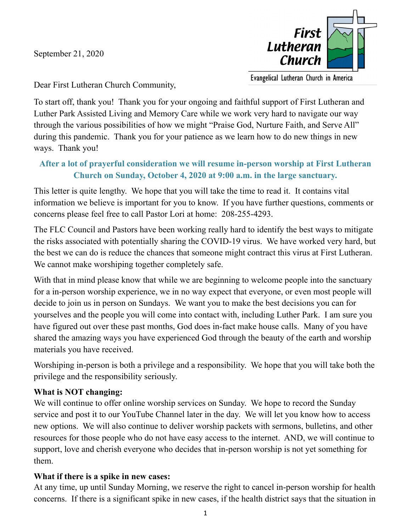September 21, 2020



Evangelical Lutheran Church in America

Dear First Lutheran Church Community,

To start off, thank you! Thank you for your ongoing and faithful support of First Lutheran and Luther Park Assisted Living and Memory Care while we work very hard to navigate our way through the various possibilities of how we might "Praise God, Nurture Faith, and Serve All" during this pandemic. Thank you for your patience as we learn how to do new things in new ways. Thank you!

# **After a lot of prayerful consideration we will resume in-person worship at First Lutheran Church on Sunday, October 4, 2020 at 9:00 a.m. in the large sanctuary.**

This letter is quite lengthy. We hope that you will take the time to read it. It contains vital information we believe is important for you to know. If you have further questions, comments or concerns please feel free to call Pastor Lori at home: 208-255-4293.

The FLC Council and Pastors have been working really hard to identify the best ways to mitigate the risks associated with potentially sharing the COVID-19 virus. We have worked very hard, but the best we can do is reduce the chances that someone might contract this virus at First Lutheran. We cannot make worshiping together completely safe.

With that in mind please know that while we are beginning to welcome people into the sanctuary for a in-person worship experience, we in no way expect that everyone, or even most people will decide to join us in person on Sundays. We want you to make the best decisions you can for yourselves and the people you will come into contact with, including Luther Park. I am sure you have figured out over these past months, God does in-fact make house calls. Many of you have shared the amazing ways you have experienced God through the beauty of the earth and worship materials you have received.

Worshiping in-person is both a privilege and a responsibility. We hope that you will take both the privilege and the responsibility seriously.

### **What is NOT changing:**

We will continue to offer online worship services on Sunday. We hope to record the Sunday service and post it to our YouTube Channel later in the day. We will let you know how to access new options. We will also continue to deliver worship packets with sermons, bulletins, and other resources for those people who do not have easy access to the internet. AND, we will continue to support, love and cherish everyone who decides that in-person worship is not yet something for them.

### **What if there is a spike in new cases:**

At any time, up until Sunday Morning, we reserve the right to cancel in-person worship for health concerns. If there is a significant spike in new cases, if the health district says that the situation in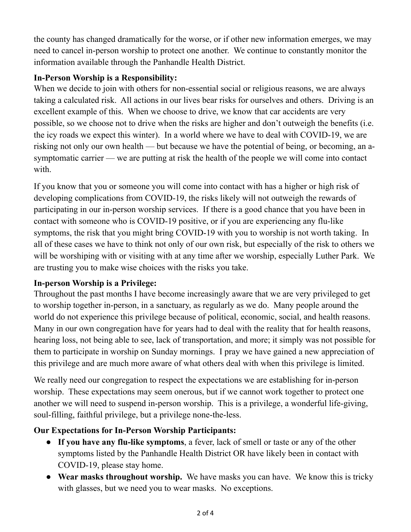the county has changed dramatically for the worse, or if other new information emerges, we may need to cancel in-person worship to protect one another. We continue to constantly monitor the information available through the Panhandle Health District.

### **In-Person Worship is a Responsibility:**

When we decide to join with others for non-essential social or religious reasons, we are always taking a calculated risk. All actions in our lives bear risks for ourselves and others. Driving is an excellent example of this. When we choose to drive, we know that car accidents are very possible, so we choose not to drive when the risks are higher and don't outweigh the benefits (i.e. the icy roads we expect this winter). In a world where we have to deal with COVID-19, we are risking not only our own health — but because we have the potential of being, or becoming, an asymptomatic carrier — we are putting at risk the health of the people we will come into contact with.

If you know that you or someone you will come into contact with has a higher or high risk of developing complications from COVID-19, the risks likely will not outweigh the rewards of participating in our in-person worship services. If there is a good chance that you have been in contact with someone who is COVID-19 positive, or if you are experiencing any flu-like symptoms, the risk that you might bring COVID-19 with you to worship is not worth taking. In all of these cases we have to think not only of our own risk, but especially of the risk to others we will be worshiping with or visiting with at any time after we worship, especially Luther Park. We are trusting you to make wise choices with the risks you take.

## **In-person Worship is a Privilege:**

Throughout the past months I have become increasingly aware that we are very privileged to get to worship together in-person, in a sanctuary, as regularly as we do. Many people around the world do not experience this privilege because of political, economic, social, and health reasons. Many in our own congregation have for years had to deal with the reality that for health reasons, hearing loss, not being able to see, lack of transportation, and more; it simply was not possible for them to participate in worship on Sunday mornings. I pray we have gained a new appreciation of this privilege and are much more aware of what others deal with when this privilege is limited.

We really need our congregation to respect the expectations we are establishing for in-person worship. These expectations may seem onerous, but if we cannot work together to protect one another we will need to suspend in-person worship. This is a privilege, a wonderful life-giving, soul-filling, faithful privilege, but a privilege none-the-less.

## **Our Expectations for In-Person Worship Participants:**

- **If you have any flu-like symptoms**, a fever, lack of smell or taste or any of the other symptoms listed by the Panhandle Health District OR have likely been in contact with COVID-19, please stay home.
- **Wear masks throughout worship.** We have masks you can have. We know this is tricky with glasses, but we need you to wear masks. No exceptions.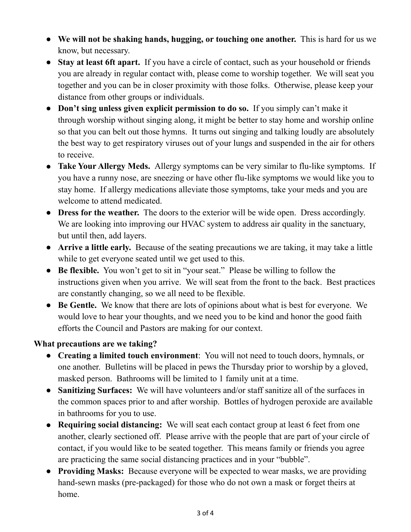- **We will not be shaking hands, hugging, or touching one another.** This is hard for us we know, but necessary.
- **Stay at least 6ft apart.** If you have a circle of contact, such as your household or friends you are already in regular contact with, please come to worship together. We will seat you together and you can be in closer proximity with those folks. Otherwise, please keep your distance from other groups or individuals.
- **Don't sing unless given explicit permission to do so.** If you simply can't make it through worship without singing along, it might be better to stay home and worship online so that you can belt out those hymns. It turns out singing and talking loudly are absolutely the best way to get respiratory viruses out of your lungs and suspended in the air for others to receive.
- **Take Your Allergy Meds.** Allergy symptoms can be very similar to flu-like symptoms. If you have a runny nose, are sneezing or have other flu-like symptoms we would like you to stay home. If allergy medications alleviate those symptoms, take your meds and you are welcome to attend medicated.
- **Dress for the weather.** The doors to the exterior will be wide open. Dress accordingly. We are looking into improving our HVAC system to address air quality in the sanctuary, but until then, add layers.
- **Arrive a little early.** Because of the seating precautions we are taking, it may take a little while to get everyone seated until we get used to this.
- **Be flexible.** You won't get to sit in "your seat." Please be willing to follow the instructions given when you arrive. We will seat from the front to the back. Best practices are constantly changing, so we all need to be flexible.
- **Be Gentle.** We know that there are lots of opinions about what is best for everyone. We would love to hear your thoughts, and we need you to be kind and honor the good faith efforts the Council and Pastors are making for our context.

### **What precautions are we taking?**

- **Creating a limited touch environment**: You will not need to touch doors, hymnals, or one another. Bulletins will be placed in pews the Thursday prior to worship by a gloved, masked person. Bathrooms will be limited to 1 family unit at a time.
- **Sanitizing Surfaces:** We will have volunteers and/or staff sanitize all of the surfaces in the common spaces prior to and after worship. Bottles of hydrogen peroxide are available in bathrooms for you to use.
- **Requiring social distancing:** We will seat each contact group at least 6 feet from one another, clearly sectioned off. Please arrive with the people that are part of your circle of contact, if you would like to be seated together. This means family or friends you agree are practicing the same social distancing practices and in your "bubble".
- **Providing Masks:** Because everyone will be expected to wear masks, we are providing hand-sewn masks (pre-packaged) for those who do not own a mask or forget theirs at home.